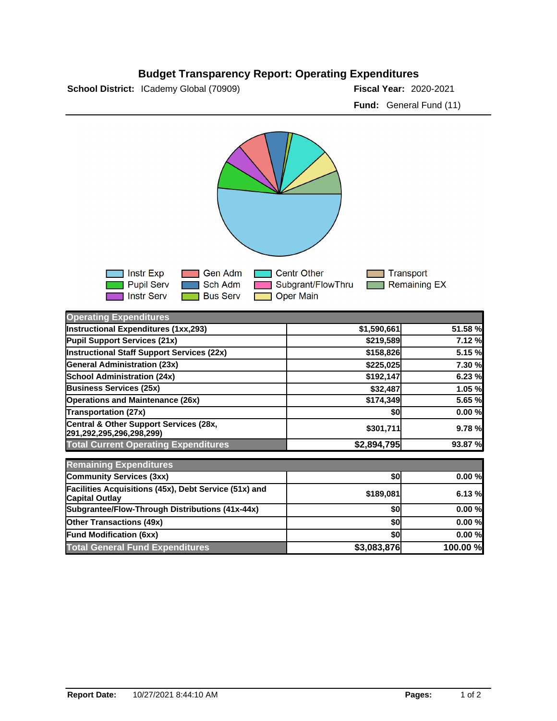## **Budget Transparency Report: Operating Expenditures**

**School District:** ICademy Global (70909)

Fiscal Year: 2020-2021 **Fund:** General Fund (11)



| <b>Operating Expenditures</b>                                                  |             |          |
|--------------------------------------------------------------------------------|-------------|----------|
| Instructional Expenditures (1xx,293)                                           | \$1,590,661 | 51.58 %  |
| Pupil Support Services (21x)                                                   | \$219,589   | 7.12 %   |
| <b>Instructional Staff Support Services (22x)</b>                              | \$158,826   | 5.15 %   |
| <b>General Administration (23x)</b>                                            | \$225,025   | 7.30 %   |
| <b>School Administration (24x)</b>                                             | \$192,147   | 6.23 %   |
| <b>Business Services (25x)</b>                                                 | \$32,487    | 1.05 %   |
| <b>Operations and Maintenance (26x)</b>                                        | \$174,349   | 5.65 %   |
| Transportation (27x)                                                           | \$0         | 0.00%    |
| Central & Other Support Services (28x,<br>291,292,295,296,298,299)             | \$301,711   | 9.78 %   |
| <b>Total Current Operating Expenditures</b>                                    | \$2,894,795 | 93.87 %  |
| <b>Remaining Expenditures</b>                                                  |             |          |
| Community Services (3xx)                                                       | \$0         | 0.00%    |
| Facilities Acquisitions (45x), Debt Service (51x) and<br><b>Capital Outlay</b> | \$189,081   | 6.13%    |
| Subgrantee/Flow-Through Distributions (41x-44x)                                | \$0         | 0.00%    |
| <b>Other Transactions (49x)</b>                                                | \$0         | 0.00%    |
| <b>Fund Modification (6xx)</b>                                                 | \$0         | 0.00%    |
| <b>Total General Fund Expenditures</b>                                         | \$3,083,876 | 100.00 % |